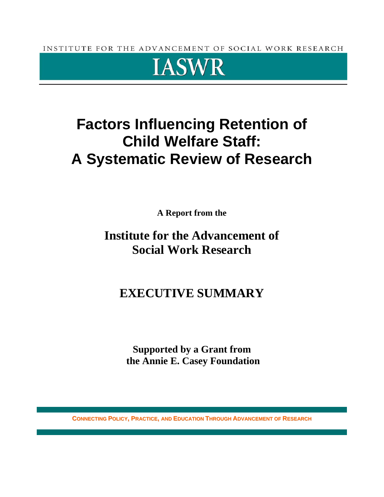INSTITUTE FOR THE ADVANCEMENT OF SOCIAL WORK RESEARCH



# **Factors Influencing Retention of Child Welfare Staff: A Systematic Review of Research**

**A Report from the** 

## **Institute for the Advancement of Social Work Research**

## **EXECUTIVE SUMMARY**

**Supported by a Grant from the Annie E. Casey Foundation** 

**CONNECTING POLICY, PRACTICE, AND EDUCATION THROUGH ADVANCEMENT OF RESEARCH**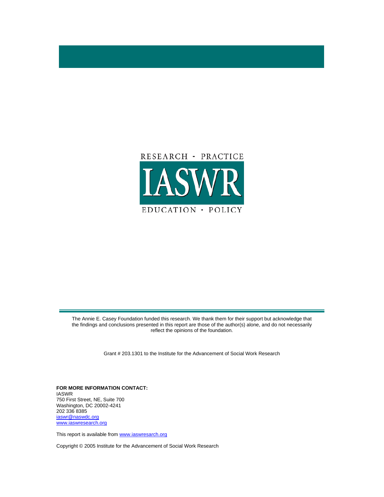

The Annie E. Casey Foundation funded this research. We thank them for their support but acknowledge that the findings and conclusions presented in this report are those of the author(s) alone, and do not necessarily reflect the opinions of the foundation.

Grant # 203.1301 to the Institute for the Advancement of Social Work Research

**FOR MORE INFORMATION CONTACT:**  IASWR 750 First Street, NE, Suite 700 Washington, DC 20002-4241 202 336 8385 iaswr@naswdc.org www.iaswresearch.org

This report is available from www.iaswresarch.org

Copyright © 2005 Institute for the Advancement of Social Work Research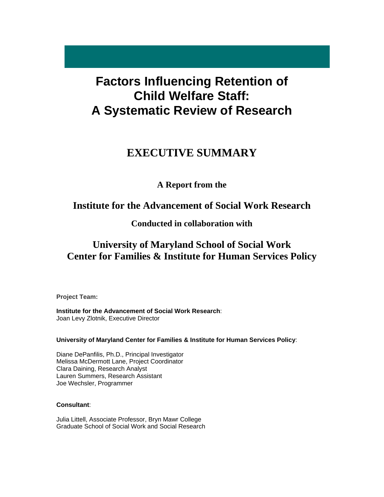## **Factors Influencing Retention of Child Welfare Staff: A Systematic Review of Research**

## **EXECUTIVE SUMMARY**

### **A Report from the**

### **Institute for the Advancement of Social Work Research**

### **Conducted in collaboration with**

## **University of Maryland School of Social Work Center for Families & Institute for Human Services Policy**

**Project Team:** 

**Institute for the Advancement of Social Work Research**: Joan Levy Zlotnik, Executive Director

**University of Maryland Center for Families & Institute for Human Services Policy**:

Diane DePanfilis, Ph.D., Principal Investigator Melissa McDermott Lane, Project Coordinator Clara Daining, Research Analyst Lauren Summers, Research Assistant Joe Wechsler, Programmer

#### **Consultant**:

Julia Littell, Associate Professor, Bryn Mawr College Graduate School of Social Work and Social Research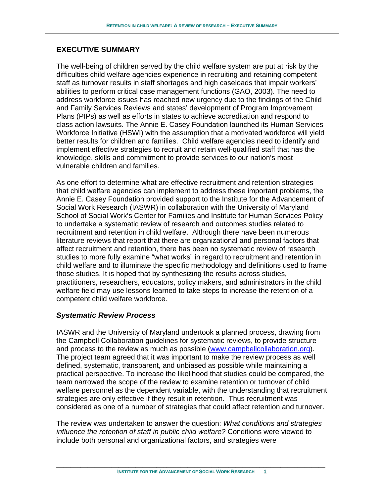#### **EXECUTIVE SUMMARY**

The well-being of children served by the child welfare system are put at risk by the difficulties child welfare agencies experience in recruiting and retaining competent staff as turnover results in staff shortages and high caseloads that impair workers' abilities to perform critical case management functions (GAO, 2003). The need to address workforce issues has reached new urgency due to the findings of the Child and Family Services Reviews and states' development of Program Improvement Plans (PIPs) as well as efforts in states to achieve accreditation and respond to class action lawsuits. The Annie E. Casey Foundation launched its Human Services Workforce Initiative (HSWI) with the assumption that a motivated workforce will yield better results for children and families. Child welfare agencies need to identify and implement effective strategies to recruit and retain well-qualified staff that has the knowledge, skills and commitment to provide services to our nation's most vulnerable children and families.

As one effort to determine what are effective recruitment and retention strategies that child welfare agencies can implement to address these important problems, the Annie E. Casey Foundation provided support to the Institute for the Advancement of Social Work Research (IASWR) in collaboration with the University of Maryland School of Social Work's Center for Families and Institute for Human Services Policy to undertake a systematic review of research and outcomes studies related to recruitment and retention in child welfare. Although there have been numerous literature reviews that report that there are organizational and personal factors that affect recruitment and retention, there has been no systematic review of research studies to more fully examine "what works" in regard to recruitment and retention in child welfare and to illuminate the specific methodology and definitions used to frame those studies. It is hoped that by synthesizing the results across studies, practitioners, researchers, educators, policy makers, and administrators in the child welfare field may use lessons learned to take steps to increase the retention of a competent child welfare workforce.

#### *Systematic Review Process*

IASWR and the University of Maryland undertook a planned process, drawing from the Campbell Collaboration guidelines for systematic reviews, to provide structure and process to the review as much as possible (www.campbellcollaboration.org). The project team agreed that it was important to make the review process as well defined, systematic, transparent, and unbiased as possible while maintaining a practical perspective. To increase the likelihood that studies could be compared, the team narrowed the scope of the review to examine retention or turnover of child welfare personnel as the dependent variable, with the understanding that recruitment strategies are only effective if they result in retention. Thus recruitment was considered as one of a number of strategies that could affect retention and turnover.

The review was undertaken to answer the question: *What conditions and strategies influence the retention of staff in public child welfare?* Conditions were viewed to include both personal and organizational factors, and strategies were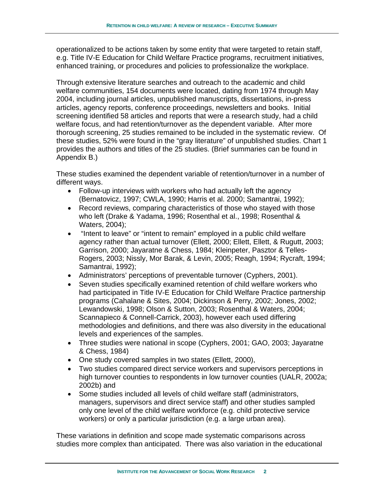operationalized to be actions taken by some entity that were targeted to retain staff, e.g. Title IV-E Education for Child Welfare Practice programs, recruitment initiatives, enhanced training, or procedures and policies to professionalize the workplace.

Through extensive literature searches and outreach to the academic and child welfare communities, 154 documents were located, dating from 1974 through May 2004, including journal articles, unpublished manuscripts, dissertations, in-press articles, agency reports, conference proceedings, newsletters and books. Initial screening identified 58 articles and reports that were a research study, had a child welfare focus, and had retention/turnover as the dependent variable. After more thorough screening, 25 studies remained to be included in the systematic review. Of these studies, 52% were found in the "gray literature" of unpublished studies. Chart 1 provides the authors and titles of the 25 studies. (Brief summaries can be found in Appendix B.)

These studies examined the dependent variable of retention/turnover in a number of different ways.

- Follow-up interviews with workers who had actually left the agency (Bernatovicz, 1997; CWLA, 1990; Harris et al. 2000; Samantrai, 1992);
- Record reviews, comparing characteristics of those who stayed with those who left (Drake & Yadama, 1996; Rosenthal et al., 1998; Rosenthal & Waters, 2004);
- "Intent to leave" or "intent to remain" employed in a public child welfare agency rather than actual turnover (Ellett, 2000; Ellett, Ellett, & Rugutt, 2003; Garrison, 2000; Jayaratne & Chess, 1984; Kleinpeter, Pasztor & Telles-Rogers, 2003; Nissly, Mor Barak, & Levin, 2005; Reagh, 1994; Rycraft, 1994; Samantrai, 1992);
- Administrators' perceptions of preventable turnover (Cyphers, 2001).
- Seven studies specifically examined retention of child welfare workers who had participated in Title IV-E Education for Child Welfare Practice partnership programs (Cahalane & Sites, 2004; Dickinson & Perry, 2002; Jones, 2002; Lewandowski, 1998; Olson & Sutton, 2003; Rosenthal & Waters, 2004; Scannapieco & Connell-Carrick, 2003), however each used differing methodologies and definitions, and there was also diversity in the educational levels and experiences of the samples.
- Three studies were national in scope (Cyphers, 2001; GAO, 2003; Jayaratne & Chess, 1984)
- One study covered samples in two states (Ellett, 2000),
- Two studies compared direct service workers and supervisors perceptions in high turnover counties to respondents in low turnover counties (UALR, 2002a; 2002b) and
- Some studies included all levels of child welfare staff (administrators, managers, supervisors and direct service staff) and other studies sampled only one level of the child welfare workforce (e.g. child protective service workers) or only a particular jurisdiction (e.g. a large urban area).

These variations in definition and scope made systematic comparisons across studies more complex than anticipated. There was also variation in the educational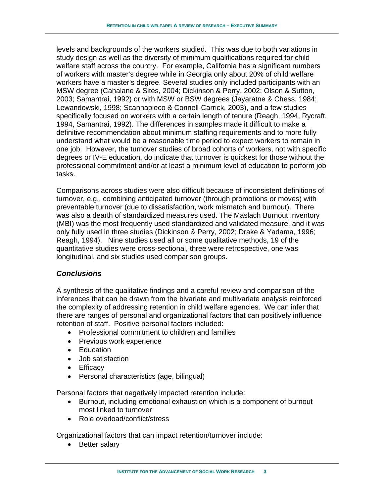levels and backgrounds of the workers studied. This was due to both variations in study design as well as the diversity of minimum qualifications required for child welfare staff across the country. For example, California has a significant numbers of workers with master's degree while in Georgia only about 20% of child welfare workers have a master's degree. Several studies only included participants with an MSW degree (Cahalane & Sites, 2004; Dickinson & Perry, 2002; Olson & Sutton, 2003; Samantrai, 1992) or with MSW or BSW degrees (Jayaratne & Chess, 1984; Lewandowski, 1998; Scannapieco & Connell-Carrick, 2003), and a few studies specifically focused on workers with a certain length of tenure (Reagh, 1994, Rycraft, 1994, Samantrai, 1992). The differences in samples made it difficult to make a definitive recommendation about minimum staffing requirements and to more fully understand what would be a reasonable time period to expect workers to remain in one job. However, the turnover studies of broad cohorts of workers, not with specific degrees or IV-E education, do indicate that turnover is quickest for those without the professional commitment and/or at least a minimum level of education to perform job tasks.

Comparisons across studies were also difficult because of inconsistent definitions of turnover, e.g., combining anticipated turnover (through promotions or moves) with preventable turnover (due to dissatisfaction, work mismatch and burnout). There was also a dearth of standardized measures used. The Maslach Burnout Inventory (MBI) was the most frequently used standardized and validated measure, and it was only fully used in three studies (Dickinson & Perry, 2002; Drake & Yadama, 1996; Reagh, 1994). Nine studies used all or some qualitative methods, 19 of the quantitative studies were cross-sectional, three were retrospective, one was longitudinal, and six studies used comparison groups.

#### *Conclusions*

A synthesis of the qualitative findings and a careful review and comparison of the inferences that can be drawn from the bivariate and multivariate analysis reinforced the complexity of addressing retention in child welfare agencies. We can infer that there are ranges of personal and organizational factors that can positively influence retention of staff. Positive personal factors included:

- Professional commitment to children and families
- Previous work experience
- Education
- Job satisfaction
- Efficacy
- Personal characteristics (age, bilingual)

Personal factors that negatively impacted retention include:

- Burnout, including emotional exhaustion which is a component of burnout most linked to turnover
- Role overload/conflict/stress

Organizational factors that can impact retention/turnover include:

• Better salary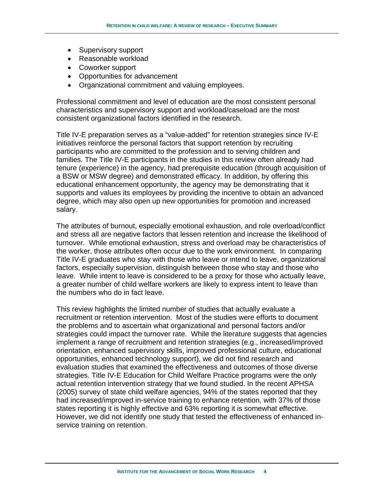- Supervisory support
- Reasonable workload
- Coworker support
- Opportunities for advancement
- Organizational commitment and valuing employees.

Professional commitment and level of education are the most consistent personal characteristics and supervisory support and workload/caseload are the most consistent organizational factors identified in the research.

Title IV-E preparation serves as a "value-added" for retention strategies since IV-E initiatives reinforce the personal factors that support retention by recruiting participants who are committed to the profession and to serving children and families. The Title IV-E participants in the studies in this review often already had tenure (experience) in the agency, had prerequisite education (through acquisition of a BSW or MSW degree) and demonstrated efficacy. In addition, by offering this educational enhancement opportunity, the agency may be demonstrating that it supports and values its employees by providing the incentive to obtain an advanced degree, which may also open up new opportunities for promotion and increased salary.

The attributes of burnout, especially emotional exhaustion, and role overload/conflict and stress all are negative factors that lessen retention and increase the likelihood of turnover. While emotional exhaustion, stress and overload may be characteristics of the worker, those attributes often occur due to the work environment. In comparing Title IV-E graduates who stay with those who leave or intend to leave, organizational factors, especially supervision, distinguish between those who stay and those who leave. While intent to leave is considered to be a proxy for those who actually leave, a greater number of child welfare workers are likely to express intent to leave than the numbers who do in fact leave.

This review highlights the limited number of studies that actually evaluate a recruitment or retention intervention. Most of the studies were efforts to document the problems and to ascertain what organizational and personal factors and/or strategies could impact the turnover rate. While the literature suggests that agencies implement a range of recruitment and retention strategies (e.g., increased/improved orientation, enhanced supervisory skills, improved professional culture, educational opportunities, enhanced technology support), we did not find research and evaluation studies that examined the effectiveness and outcomes of those diverse strategies. Title IV-E Education for Child Welfare Practice programs were the only actual retention intervention strategy that we found studied. In the recent APHSA (2005) survey of state child welfare agencies, 94% of the states reported that they had increased/improved in-service training to enhance retention, with 37% of those states reporting it is highly effective and 63% reporting it is somewhat effective. However, we did not identify one study that tested the effectiveness of enhanced inservice training on retention.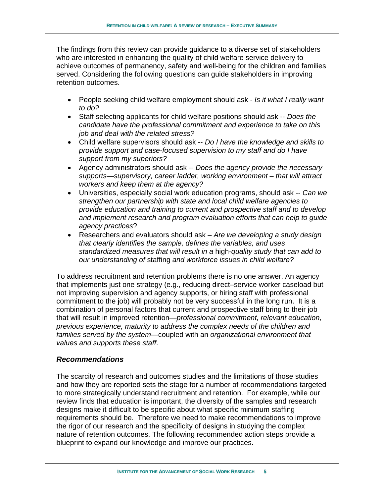The findings from this review can provide guidance to a diverse set of stakeholders who are interested in enhancing the quality of child welfare service delivery to achieve outcomes of permanency, safety and well-being for the children and families served. Considering the following questions can guide stakeholders in improving retention outcomes.

- People seeking child welfare employment should ask *Is it what I really want to do?*
- Staff selecting applicants for child welfare positions should ask -- *Does the candidate have the professional commitment and experience to take on this job and deal with the related stress?*
- Child welfare supervisors should ask -- *Do I have the knowledge and skills to provide support and case-focused supervision to my staff and do I have support from my superiors?*
- Agency administrators should ask -- *Does the agency provide the necessary supports—supervisory, career ladder, working environment – that will attract workers and keep them at the agency?*
- Universities, especially social work education programs, should ask -- *Can we strengthen our partnership with state and local child welfare agencies to provide education and training to current and prospective staff and to develop and implement research and program evaluation efforts that can help to guide agency practices*?
- Researchers and evaluators should ask *Are we developing a study design that clearly identifies the sample, defines the variables, and uses standardized measures that will result in a* high*-quality study that can add to our understanding of* staffing *and workforce issues in child welfare?*

To address recruitment and retention problems there is no one answer. An agency that implements just one strategy (e.g., reducing direct–service worker caseload but not improving supervision and agency supports, or hiring staff with professional commitment to the job) will probably not be very successful in the long run. It is a combination of personal factors that current and prospective staff bring to their job that will result in improved retention*—professional commitment, relevant education, previous experience, maturity to address the complex needs of the children and families served by the system*—coupled with an *organizational environment that values and supports these staff*.

#### *Recommendations*

The scarcity of research and outcomes studies and the limitations of those studies and how they are reported sets the stage for a number of recommendations targeted to more strategically understand recruitment and retention. For example, while our review finds that education is important, the diversity of the samples and research designs make it difficult to be specific about what specific minimum staffing requirements should be. Therefore we need to make recommendations to improve the rigor of our research and the specificity of designs in studying the complex nature of retention outcomes. The following recommended action steps provide a blueprint to expand our knowledge and improve our practices.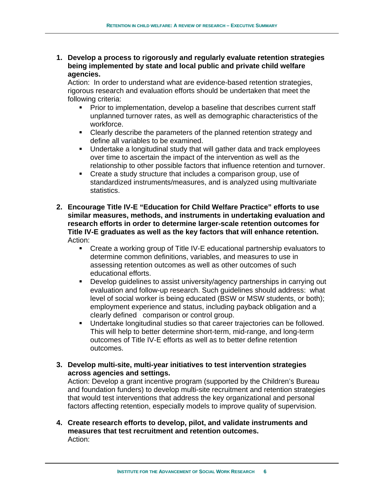**1. Develop a process to rigorously and regularly evaluate retention strategies being implemented by state and local public and private child welfare agencies.** 

Action: In order to understand what are evidence-based retention strategies, rigorous research and evaluation efforts should be undertaken that meet the following criteria:

- **Prior to implementation, develop a baseline that describes current staff** unplanned turnover rates, as well as demographic characteristics of the workforce.
- Clearly describe the parameters of the planned retention strategy and define all variables to be examined.
- Undertake a longitudinal study that will gather data and track employees over time to ascertain the impact of the intervention as well as the relationship to other possible factors that influence retention and turnover.
- Create a study structure that includes a comparison group, use of standardized instruments/measures, and is analyzed using multivariate statistics.
- **2. Encourage Title IV-E "Education for Child Welfare Practice" efforts to use similar measures, methods, and instruments in undertaking evaluation and research efforts in order to determine larger-scale retention outcomes for Title IV-E graduates as well as the key factors that will enhance retention.**  Action:
	- Create a working group of Title IV-E educational partnership evaluators to determine common definitions, variables, and measures to use in assessing retention outcomes as well as other outcomes of such educational efforts.
	- **Develop guidelines to assist university/agency partnerships in carrying out** evaluation and follow-up research. Such guidelines should address: what level of social worker is being educated (BSW or MSW students, or both); employment experience and status, including payback obligation and a clearly defined comparison or control group.
	- Undertake longitudinal studies so that career trajectories can be followed. This will help to better determine short-term, mid-range, and long-term outcomes of Title IV-E efforts as well as to better define retention outcomes.
- **3. Develop multi-site, multi-year initiatives to test intervention strategies across agencies and settings.**

Action: Develop a grant incentive program (supported by the Children's Bureau and foundation funders) to develop multi-site recruitment and retention strategies that would test interventions that address the key organizational and personal factors affecting retention, especially models to improve quality of supervision.

**4. Create research efforts to develop, pilot, and validate instruments and measures that test recruitment and retention outcomes.**  Action: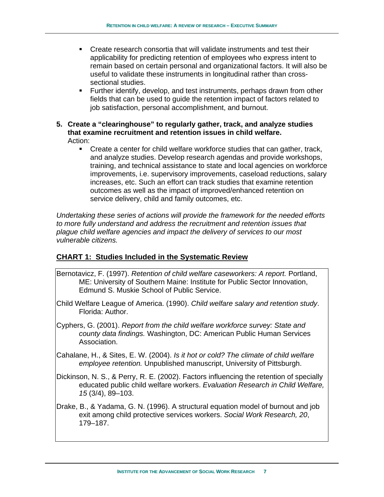- Create research consortia that will validate instruments and test their applicability for predicting retention of employees who express intent to remain based on certain personal and organizational factors. It will also be useful to validate these instruments in longitudinal rather than crosssectional studies.
- Further identify, develop, and test instruments, perhaps drawn from other fields that can be used to guide the retention impact of factors related to job satisfaction, personal accomplishment, and burnout.
- **5. Create a "clearinghouse" to regularly gather, track, and analyze studies that examine recruitment and retention issues in child welfare.**  Action:
	- Create a center for child welfare workforce studies that can gather, track, and analyze studies. Develop research agendas and provide workshops, training, and technical assistance to state and local agencies on workforce improvements, i.e. supervisory improvements, caseload reductions, salary increases, etc. Such an effort can track studies that examine retention outcomes as well as the impact of improved/enhanced retention on service delivery, child and family outcomes, etc.

*Undertaking these series of actions will provide the framework for the needed efforts to more fully understand and address the recruitment and retention issues that plague child welfare agencies and impact the delivery of services to our most vulnerable citizens.*

#### **CHART 1: Studies Included in the Systematic Review**

- Bernotavicz, F. (1997). *Retention of child welfare caseworkers: A report.* Portland, ME: University of Southern Maine: Institute for Public Sector Innovation, Edmund S. Muskie School of Public Service.
- Child Welfare League of America. (1990). *Child welfare salary and retention study*. Florida: Author.
- Cyphers, G. (2001). *Report from the child welfare workforce survey: State and county data findings.* Washington, DC: American Public Human Services Association.
- Cahalane, H., & Sites, E. W. (2004). *Is it hot or cold? The climate of child welfare employee retention.* Unpublished manuscript, University of Pittsburgh.
- Dickinson, N. S., & Perry, R. E. (2002). Factors influencing the retention of specially educated public child welfare workers. *Evaluation Research in Child Welfare, 15* (3/4), 89–103.
- Drake, B., & Yadama, G. N. (1996). A structural equation model of burnout and job exit among child protective services workers. *Social Work Research, 20*, 179–187.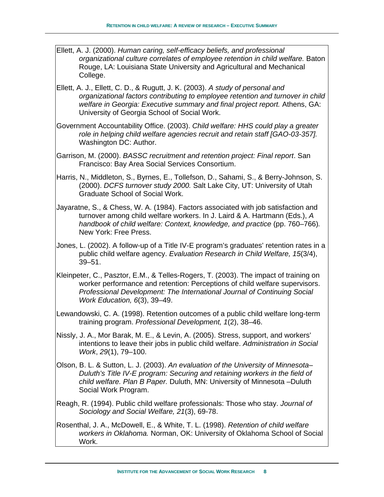- Ellett, A. J. (2000). *Human caring, self-efficacy beliefs, and professional organizational culture correlates of employee retention in child welfare.* Baton Rouge, LA: Louisiana State University and Agricultural and Mechanical College.
- Ellett, A. J., Ellett, C. D., & Rugutt, J. K. (2003). *A study of personal and organizational factors contributing to employee retention and turnover in child welfare in Georgia: Executive summary and final project report.* Athens, GA: University of Georgia School of Social Work.
- Government Accountability Office. (2003). *Child welfare: HHS could play a greater role in helping child welfare agencies recruit and retain staff [GAO-03-357].* Washington DC: Author.
- Garrison, M. (2000). *BASSC recruitment and retention project: Final report*. San Francisco: Bay Area Social Services Consortium.
- Harris, N., Middleton, S., Byrnes, E., Tollefson, D., Sahami, S., & Berry-Johnson, S. (2000). *DCFS turnover study 2000.* Salt Lake City, UT: University of Utah Graduate School of Social Work.
- Jayaratne, S., & Chess, W. A. (1984). Factors associated with job satisfaction and turnover among child welfare workers. In J. Laird & A. Hartmann (Eds.), *A handbook of child welfare: Context, knowledge, and practice (pp. 760–766).* New York: Free Press.
- Jones, L. (2002). A follow-up of a Title IV-E program's graduates' retention rates in a public child welfare agency. *Evaluation Research in Child Welfare, 15*(3/4), 39–51.
- Kleinpeter, C., Pasztor, E.M., & Telles-Rogers, T. (2003). The impact of training on worker performance and retention: Perceptions of child welfare supervisors. *Professional Development: The International Journal of Continuing Social Work Education, 6*(3), 39–49.
- Lewandowski, C. A. (1998). Retention outcomes of a public child welfare long-term training program. *Professional Development, 1*(2), 38–46.
- Nissly, J. A., Mor Barak, M. E., & Levin, A. (2005). Stress, support, and workers' intentions to leave their jobs in public child welfare. *Administration in Social Work*, *29*(1), 79–100.
- Olson, B. L. & Sutton, L. J. (2003). *An evaluation of the University of Minnesota– Duluth's Title IV-E program: Securing and retaining workers in the field of child welfare. Plan B Paper.* Duluth, MN: University of Minnesota –Duluth Social Work Program.
- Reagh, R. (1994). Public child welfare professionals: Those who stay. *Journal of Sociology and Social Welfare, 21*(3), 69-78.
- Rosenthal, J. A., McDowell, E., & White, T. L. (1998). *Retention of child welfare workers in Oklahoma.* Norman, OK: University of Oklahoma School of Social Work.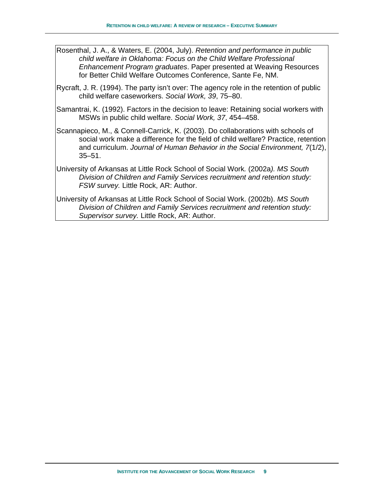- Rosenthal, J. A., & Waters, E. (2004, July). *Retention and performance in public child welfare in Oklahoma: Focus on the Child Welfare Professional Enhancement Program graduates*. Paper presented at Weaving Resources for Better Child Welfare Outcomes Conference, Sante Fe, NM.
- Rycraft, J. R. (1994). The party isn't over: The agency role in the retention of public child welfare caseworkers. *Social Work, 39*, 75–80.
- Samantrai, K. (1992). Factors in the decision to leave: Retaining social workers with MSWs in public child welfare. *Social Work, 37*, 454–458.
- Scannapieco, M., & Connell-Carrick, K. (2003). Do collaborations with schools of social work make a difference for the field of child welfare? Practice, retention and curriculum. *Journal of Human Behavior in the Social Environment, 7*(1/2), 35–51.
- University of Arkansas at Little Rock School of Social Work*.* (2002a*). MS South Division of Children and Family Services recruitment and retention study: FSW survey.* Little Rock, AR: Author.
- University of Arkansas at Little Rock School of Social Work. (2002b). *MS South Division of Children and Family Services recruitment and retention study: Supervisor survey.* Little Rock, AR: Author.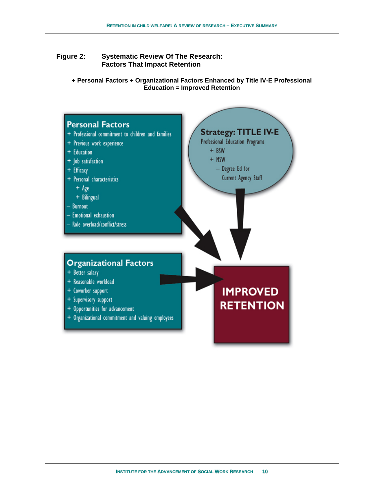#### **Figure 2: Systematic Review Of The Research: Factors That Impact Retention**

**+ Personal Factors + Organizational Factors Enhanced by Title IV-E Professional Education = Improved Retention** 

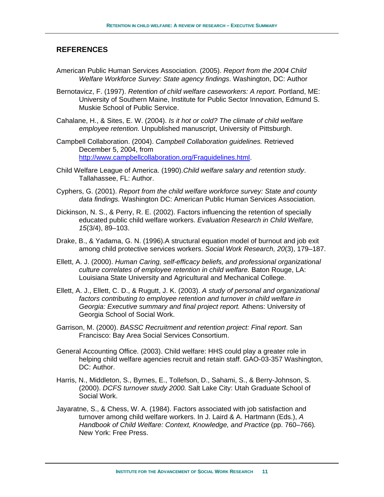#### **REFERENCES**

- American Public Human Services Association. (2005). *Report from the 2004 Child Welfare Workforce Survey: State agency findings*. Washington, DC: Author
- Bernotavicz, F. (1997). *Retention of child welfare caseworkers: A report.* Portland, ME: University of Southern Maine, Institute for Public Sector Innovation, Edmund S. Muskie School of Public Service.
- Cahalane, H., & Sites, E. W. (2004). *Is it hot or cold? The climate of child welfare employee retention.* Unpublished manuscript, University of Pittsburgh.
- Campbell Collaboration. (2004). *Campbell Collaboration guidelines.* Retrieved December 5, 2004, from http://www.campbellcollaboration.org/Fraguidelines.html.
- Child Welfare League of America. (1990).*Child welfare salary and retention study*. Tallahassee, FL: Author.
- Cyphers, G. (2001). *Report from the child welfare workforce survey: State and county data findings.* Washington DC: American Public Human Services Association.
- Dickinson, N. S., & Perry, R. E. (2002). Factors influencing the retention of specially educated public child welfare workers. *Evaluation Research in Child Welfare, 15*(3/4), 89–103.
- Drake, B., & Yadama, G. N. (1996).A structural equation model of burnout and job exit among child protective services workers. *Social Work Research, 20*(3), 179–187.
- Ellett, A. J. (2000). *Human Caring, self-efficacy beliefs, and professional organizational culture correlates of employee retention in child welfare.* Baton Rouge, LA: Louisiana State University and Agricultural and Mechanical College.
- Ellett, A. J., Ellett, C. D., & Rugutt, J. K. (2003). *A study of personal and organizational*  factors contributing to employee retention and turnover in child welfare in *Georgia: Executive summary and final project report.* Athens: University of Georgia School of Social Work.
- Garrison, M. (2000). *BASSC Recruitment and retention project: Final report*. San Francisco: Bay Area Social Services Consortium.
- General Accounting Office. (2003). Child welfare: HHS could play a greater role in helping child welfare agencies recruit and retain staff. GAO-03-357 Washington, DC: Author.
- Harris, N., Middleton, S., Byrnes, E., Tollefson, D., Sahami, S., & Berry-Johnson, S. (2000). *DCFS turnover study 2000.* Salt Lake City: Utah Graduate School of Social Work.
- Jayaratne, S., & Chess, W. A. (1984). Factors associated with job satisfaction and turnover among child welfare workers. In J. Laird & A. Hartmann (Eds.), *A Handbook of Child Welfare: Context, Knowledge, and Practice (pp. 760–766).* New York: Free Press.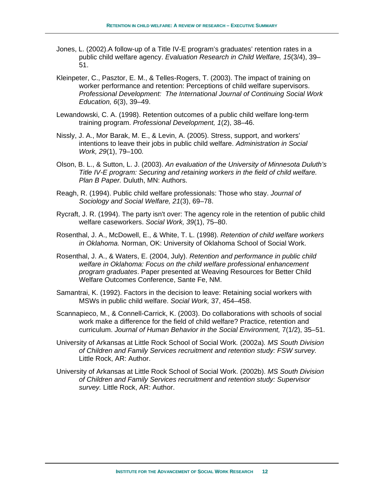- Jones, L. (2002).A follow-up of a Title IV-E program's graduates' retention rates in a public child welfare agency. *Evaluation Research in Child Welfare, 15*(3/4), 39– 51.
- Kleinpeter, C., Pasztor, E. M., & Telles-Rogers, T. (2003). The impact of training on worker performance and retention: Perceptions of child welfare supervisors. *Professional Development: The International Journal of Continuing Social Work Education, 6*(3), 39–49.
- Lewandowski, C. A. (1998). Retention outcomes of a public child welfare long-term training program. *Professional Development, 1*(2), 38–46.
- Nissly, J. A., Mor Barak, M. E., & Levin, A. (2005). Stress, support, and workers' intentions to leave their jobs in public child welfare. *Administration in Social Work, 29*(1), 79–100*.*
- Olson, B. L., & Sutton, L. J. (2003). *An evaluation of the University of Minnesota Duluth's Title IV-E program: Securing and retaining workers in the field of child welfare. Plan B Paper.* Duluth, MN: Authors.
- Reagh, R. (1994). Public child welfare professionals: Those who stay. *Journal of Sociology and Social Welfare, 21*(3), 69–78.
- Rycraft, J. R. (1994). The party isn't over: The agency role in the retention of public child welfare caseworkers. *Social Work, 39*(1), 75–80.
- Rosenthal, J. A., McDowell, E., & White, T. L. (1998). *Retention of child welfare workers in Oklahoma.* Norman, OK: University of Oklahoma School of Social Work.
- Rosenthal, J. A., & Waters, E. (2004, July). *Retention and performance in public child welfare in Oklahoma: Focus on the child welfare professional enhancement program graduates*. Paper presented at Weaving Resources for Better Child Welfare Outcomes Conference, Sante Fe, NM.
- Samantrai, K. (1992). Factors in the decision to leave: Retaining social workers with MSWs in public child welfare. *Social Work,* 37, 454–458.
- Scannapieco, M., & Connell-Carrick, K. (2003). Do collaborations with schools of social work make a difference for the field of child welfare? Practice, retention and curriculum. *Journal of Human Behavior in the Social Environment,* 7(1/2), 35–51.
- University of Arkansas at Little Rock School of Social Work*.* (2002a)*. MS South Division of Children and Family Services recruitment and retention study: FSW survey.*  Little Rock, AR: Author.
- University of Arkansas at Little Rock School of Social Work. (2002b). *MS South Division of Children and Family Services recruitment and retention study: Supervisor survey.* Little Rock, AR: Author.